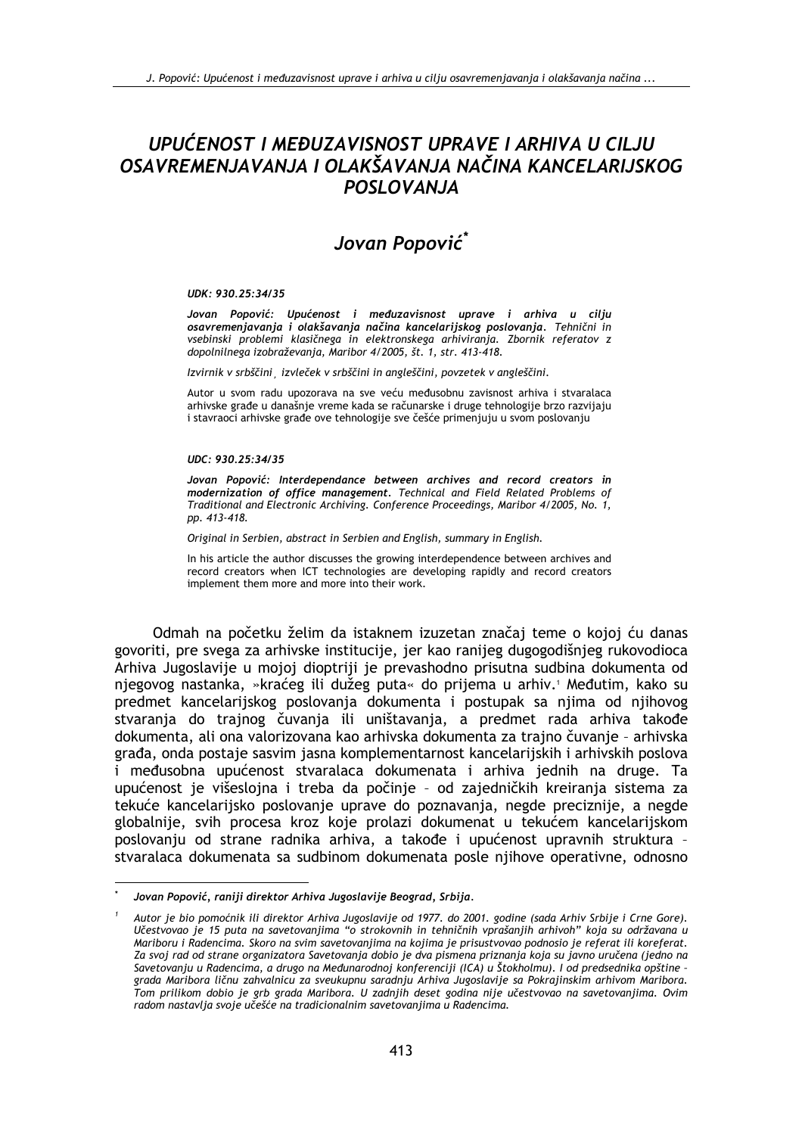# UPUĆENOST I MEĐUZAVISNOST UPRAVE I ARHIVA U CILJU OSAVREMENJAVANJA I OLAKŠAVANJA NAČINA KANCELARIJSKOG POSLOVANJA

# Jovan Popović\*

#### UDK: 930.25:34/35

Jovan Popović: Upućenost i međuzavisnost uprave i arhiva u cilju osavremenjavanja i olakšavanja načina kancelarijskog poslovanja. Tehnični in vsebinski problemi klasičnega in elektronskega arhiviranja. Zbornik referatov z dopolnilnega izobraževanja, Maribor 4/2005, št. 1, str. 413-418.

Izvirnik v srbščini, izvleček v srbščini in angleščini, povzetek v angleščini.

Autor u svom radu upozorava na sve veću međusobnu zavisnost arhiva i stvaralaca arhivske građe u današnje vreme kada se računarske i druge tehnologije brzo razvijaju i stavraoci arhivske građe ove tehnologije sve češće primenjuju u svom poslovanju

### UDC: 930.25:34/35

Jovan Popović: Interdependance between archives and record creators in modernization of office management. Technical and Field Related Problems of Traditional and Electronic Archiving. Conference Proceedings, Maribor 4/2005, No. 1, pp. 413-418.

Original in Serbien, abstract in Serbien and English, summary in English.

In his article the author discusses the growing interdependence between archives and record creators when ICT technologies are developing rapidly and record creators implement them more and more into their work.

Odmah na početku želim da istaknem izuzetan značaj teme o kojoj ću danas govoriti, pre svega za arhivske institucije, jer kao ranijeg dugogodišnjeg rukovodioca Arhiva Jugoslavije u mojoj dioptriji je prevashodno prisutna sudbina dokumenta od njegovog nastanka, »kraćeg ili dužeg puta« do prijema u arhiv.<sup>1</sup> Međutim, kako su predmet kancelarijskog poslovanja dokumenta i postupak sa njima od njihovog stvaranja do trajnog čuvanja ili uništavanja, a predmet rada arhiva takođe dokumenta, ali ona valorizovana kao arhivska dokumenta za trajno čuvanje - arhivska građa, onda postaje sasvim jasna komplementarnost kancelarijskih i arhivskih poslova i međusobna upućenost stvaralaca dokumenata i arhiva jednih na druge. Ta upućenost je višeslojna i treba da počinje - od zajedničkih kreiranja sistema za tekuće kancelarijsko poslovanje uprave do poznavanja, negde preciznije, a negde globalnije, svih procesa kroz koje prolazi dokumenat u tekućem kancelarijskom poslovanju od strane radnika arhiva, a takođe i upućenost upravnih struktura stvaralaca dokumenata sa sudbinom dokumenata posle njihove operativne, odnosno

Jovan Popović, raniji direktor Arhiva Jugoslavije Beograd, Srbija,

Autor je bio pomoćnik ili direktor Arhiva Jugoslavije od 1977. do 2001. godine (sada Arhiv Srbije i Crne Gore). Učestvovao je 15 puta na savetovanjima "o strokovnih in tehničnih vprašanjih arhivoh" koja su održavana u Mariboru i Radencima. Skoro na svim savetovanjima na kojima je prisustvovao podnosio je referat ili koreferat. Za svoj rad od strane organizatora Savetovanja dobio je dva pismena priznanja koja su javno uručena (jedno na Savetovanju u Radencima, a drugo na Međunarodnoj konferenciji (ICA) u Štokholmu). I od predsednika opštine grada Maribora ličnu zahvalnicu za sveukupnu saradnju Arhiva Jugoslavije sa Pokrajinskim arhivom Maribora. Tom prilikom dobio je grb grada Maribora. U zadnjih deset godina nije učestvovao na savetovanjima. Ovim radom nastavlja svoje učešće na tradicionalnim savetovanjima u Radencima.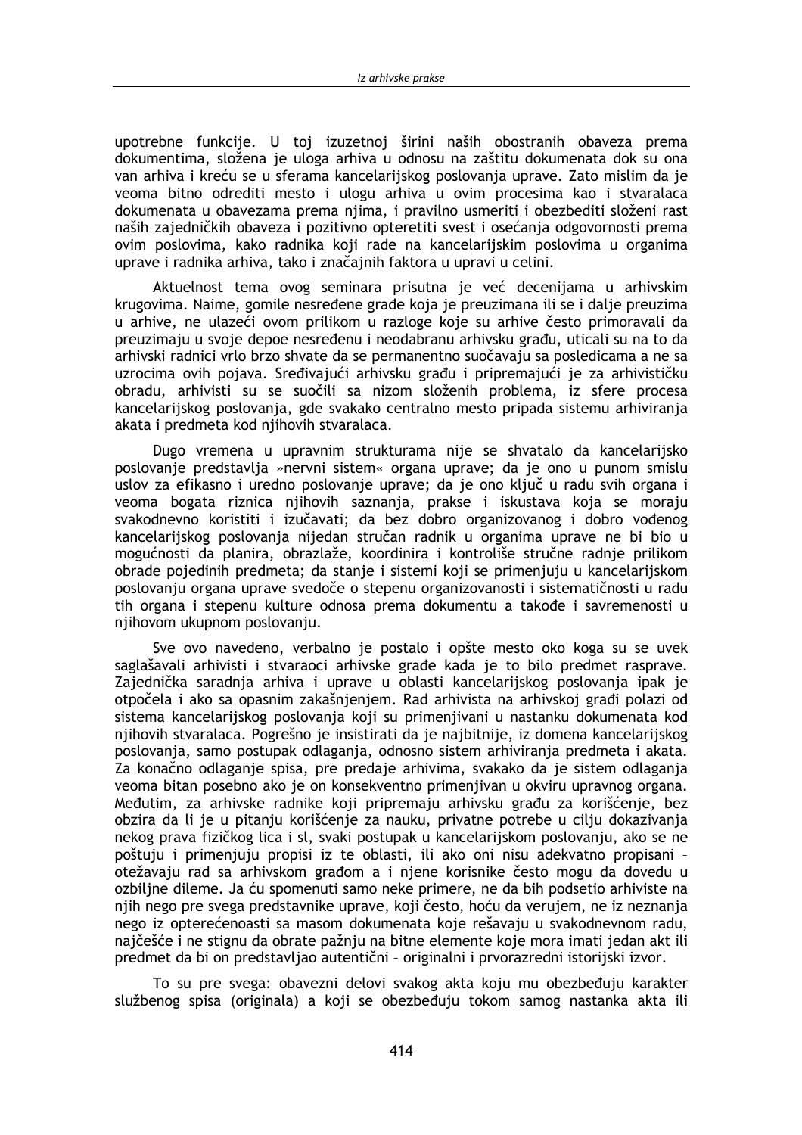upotrebne funkcije. U toj izuzetnoj širini naših obostranih obaveza prema dokumentima, složena je uloga arhiva u odnosu na zaštitu dokumenata dok su ona van arhiva i kreću se u sferama kancelarijskog poslovanja uprave. Zato mislim da je veoma bitno odrediti mesto i ulogu arhiva u ovim procesima kao i stvaralaca dokumenata u obavezama prema njima, i pravilno usmeriti i obezbediti složeni rast naših zajedničkih obaveza i pozitivno opteretiti svest i osećanja odgovornosti prema ovim poslovima, kako radnika koji rade na kancelarijskim poslovima u organima uprave i radnika arhiva, tako i značajnih faktora u upravi u celini.

Aktuelnost tema ovog seminara prisutna je već decenijama u arhivskim krugovima. Naime, gomile nesređene građe koja je preuzimana ili se i dalje preuzima u arhive, ne ulazeći ovom prilikom u razloge koje su arhive često primoravali da preuzimaju u svoje depoe nesređenu i neodabranu arhivsku građu, uticali su na to da arhivski radnici vrlo brzo shvate da se permanentno suočavaju sa posledicama a ne sa uzrocima ovih pojava. Sređivajući arhivsku građu i pripremajući je za arhivističku obradu, arhivisti su se suočili sa nizom složenih problema, iz sfere procesa kancelarijskog poslovanja, gde svakako centralno mesto pripada sistemu arhiviranja akata i predmeta kod njihovih stvaralaca.

Dugo vremena u upravnim strukturama nije se shvatalo da kancelarijsko poslovanje predstavlja »nervni sistem« organa uprave; da je ono u punom smislu uslov za efikasno i uredno poslovanje uprave; da je ono ključ u radu svih organa i veoma bogata riznica njihovih saznanja, prakse i iskustava koja se moraju svakodnevno koristiti i izučavati; da bez dobro organizovanog i dobro vođenog kancelarijskog poslovanja nijedan stručan radnik u organima uprave ne bi bio u mogućnosti da planira, obrazlaže, koordinira i kontroliše stručne radnje prilikom obrade pojedinih predmeta; da stanje i sistemi koji se primenjuju u kancelarijskom poslovanju organa uprave svedoče o stepenu organizovanosti i sistematičnosti u radu tih organa i stepenu kulture odnosa prema dokumentu a takođe i savremenosti u njihovom ukupnom poslovanju.

Sve ovo navedeno, verbalno je postalo i opšte mesto oko koga su se uvek saglašavali arhivisti i stvaraoci arhivske građe kada je to bilo predmet rasprave. Zajednička saradnja arhiva i uprave u oblasti kancelarijskog poslovanja ipak je otpočela i ako sa opasnim zakašnjenjem. Rad arhivista na arhivskoj građi polazi od sistema kancelariiskog poslovania koji su primenijvani u nastanku dokumenata kod njihovih stvaralaca. Pogrešno je insistirati da je najbitnije, iz domena kancelarijskog poslovanja, samo postupak odlaganja, odnosno sistem arhiviranja predmeta i akata. Za konačno odlaganje spisa, pre predaje arhivima, svakako da je sistem odlaganja veoma bitan posebno ako je on konsekventno primenjivan u okviru upravnog organa. Međutim, za arhivske radnike koji pripremaju arhivsku građu za korišćenje, bez obzira da li je u pitanju korišćenje za nauku, privatne potrebe u cilju dokazivanja nekog prava fizičkog lica i sl, svaki postupak u kancelarijskom poslovanju, ako se ne poštuju i primenjuju propisi iz te oblasti, ili ako oni nisu adekvatno propisani otežavaju rad sa arhivskom građom a i njene korisnike često mogu da dovedu u ozbiljne dileme. Ja ću spomenuti samo neke primere, ne da bih podsetio arhiviste na njih nego pre svega predstavnike uprave, koji često, hoću da verujem, ne iz neznanja nego iz opterećenoasti sa masom dokumenata koje rešavaju u svakodnevnom radu, najčešće i ne stignu da obrate pažnju na bitne elemente koje mora imati jedan akt ili predmet da bi on predstavljao autentični - originalni i prvorazredni istorijski izvor.

To su pre svega: obavezni delovi svakog akta koju mu obezbeđuju karakter službenog spisa (originala) a koji se obezbeđuju tokom samog nastanka akta ili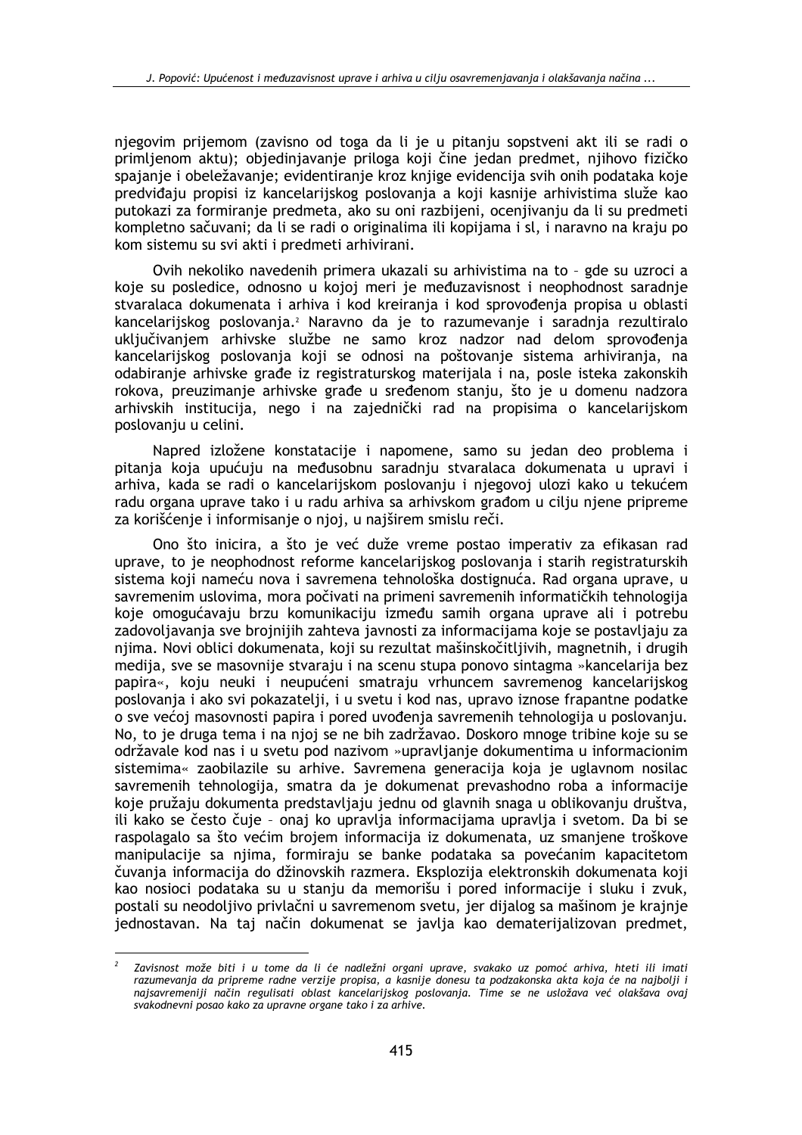niegovim prijemom (zavisno od toga da li je u pitanju sopstveni akt ili se radi o primlienom aktu); objedinjavanje priloga koji čine jedan predmet, njihovo fizičko spajanje i obeležavanje; evidentiranje kroz knjige evidencija svih onih podataka koje predviđaju propisi iz kancelarijskog poslovanja a koji kasnije arhivistima služe kao putokazi za formiranje predmeta, ako su oni razbijeni, ocenjivanju da li su predmeti kompletno sačuvani; da li se radi o originalima ili kopijama i sl, i naravno na kraju po kom sistemu su svi akti i predmeti arhivirani.

Ovih nekoliko navedenih primera ukazali su arhivistima na to - gde su uzroci a koje su posledice, odnosno u kojoj meri je međuzavisnost i neophodnost saradnje stvaralaca dokumenata i arhiva i kod kreiranja i kod sprovođenja propisa u oblasti kancelarijskog poslovanja.<sup>2</sup> Naravno da je to razumevanje i saradnja rezultiralo uključivanjem arhivske službe ne samo kroz nadzor nad delom sprovođenja kancelarijskog poslovanja koji se odnosi na poštovanje sistema arhiviranja, na odabiranje arhivske građe iz registraturskog materijala i na, posle isteka zakonskih rokova, preuzimanje arhivske građe u sređenom stanju, što je u domenu nadzora arhivskih institucija, nego i na zajednički rad na propisima o kancelarijskom poslovanju u celini.

Napred izložene konstatacije i napomene, samo su jedan deo problema i pitanja koja upućuju na međusobnu saradnju stvaralaca dokumenata u upravi i arhiva, kada se radi o kancelarijskom poslovanju i njegovoj ulozi kako u tekućem radu organa uprave tako i u radu arhiva sa arhivskom građom u cilju njene pripreme za korišćenje i informisanje o njoj, u najširem smislu reči.

Ono što inicira, a što je već duže vreme postao imperativ za efikasan rad uprave, to je neophodnost reforme kancelarijskog poslovanja i starih registraturskih sistema koji nameću nova i savremena tehnološka dostignuća. Rad organa uprave, u savremenim uslovima, mora počivati na primeni savremenih informatičkih tehnologija koje omogućavaju brzu komunikaciju između samih organa uprave ali i potrebu zadovoliavania sve broiniiih zahteva javnosti za informacijama koje se postavljaju za njima. Novi oblici dokumenata, koji su rezultat mašinskočitljivih, magnetnih, i drugih medija, sve se masovnije stvaraju i na scenu stupa ponovo sintagma »kancelarija bez papira«, koju neuki i neupućeni smatraju vrhuncem savremenog kancelarijskog poslovanja i ako svi pokazatelji, i u svetu i kod nas, upravo iznose frapantne podatke o sve većoj masovnosti papira i pored uvođenia savremenih tehnologija u poslovanju. No, to je druga tema i na njoj se ne bih zadržavao. Doskoro mnoge tribine koje su se održavale kod nas i u svetu pod nazivom »upravljanje dokumentima u informacionim sistemima« zaobilazile su arhive. Savremena generacija koja je uglavnom nosilac savremenih tehnologija, smatra da je dokumenat prevashodno roba a informacije koje pružaju dokumenta predstavljaju jednu od glavnih snaga u oblikovanju društva, ili kako se često čuje - onaj ko upravlja informacijama upravlja i svetom. Da bi se raspolagalo sa što većim brojem informacija iz dokumenata, uz smanjene troškove manipulacije sa njima, formiraju se banke podataka sa povećanim kapacitetom čuvanja informacija do džinovskih razmera. Eksplozija elektronskih dokumenata koji kao nosioci podataka su u stanju da memorišu i pored informacije i sluku i zvuk, postali su neodoljivo privlačni u savremenom svetu, jer dijalog sa mašinom je krajnje jednostavan. Na taj način dokumenat se javlja kao dematerijalizovan predmet,

Zavisnost može biti i u tome da li će nadležni organi uprave, svakako uz pomoć arhiva, hteti ili imati razumevanja da pripreme radne verzije propisa, a kasnije donesu ta podzakonska akta koja će na najbolji i najsavremeniji način regulisati oblast kancelarijskog poslovanja. Time se ne usložava već olakšava ovaj svakodnevni posao kako za upravne organe tako i za arhive.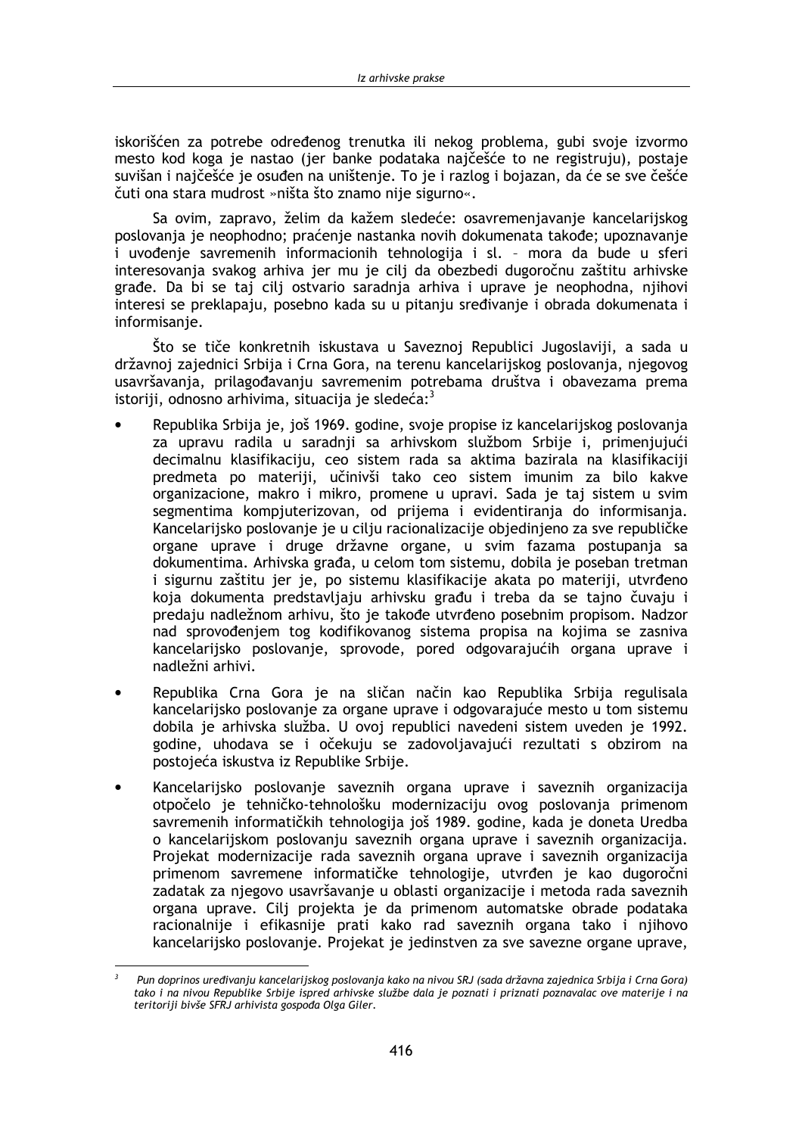iskorišćen za potrebe određenog trenutka ili nekog problema, gubi svoje izvormo mesto kod koga je nastao (jer banke podataka najčešće to ne registruju), postaje suvišan i najčešće je osuđen na uništenje. To je i razlog i bojazan, da će se sve češće čuti ona stara mudrost »ništa što znamo nije sigurno«.

Sa ovim, zapravo, želim da kažem sledeće: osavremenjavanje kancelarijskog poslovanja je neophodno; praćenje nastanka novih dokumenata takođe; upoznavanje i uvođenje savremenih informacionih tehnologija i sl. - mora da bude u sferi interesovanja svakog arhiva jer mu je cilj da obezbedi dugoročnu zaštitu arhivske građe. Da bi se taj cilj ostvario saradnja arhiva i uprave je neophodna, njihovi interesi se preklapaju, posebno kada su u pitanju sređivanje i obrada dokumenata i informisanie.

Što se tiče konkretnih iskustava u Saveznoj Republici Jugoslaviji, a sada u državnoj zajednici Srbija i Crna Gora, na terenu kancelarijskog poslovanja, njegovog usavršavanja, prilagođavanju savremenim potrebama društva i obavezama prema istoriji, odnosno arhivima, situacija je sledeća:<sup>3</sup>

- Republika Srbija je, još 1969. godine, svoje propise iz kancelarijskog poslovanja za upravu radila u saradnji sa arhivskom službom Srbije i, primenjujući decimalnu klasifikaciju, ceo sistem rada sa aktima bazirala na klasifikaciji predmeta po materiji, učinivši tako ceo sistem imunim za bilo kakve organizacione, makro i mikro, promene u upravi. Sada je taj sistem u svim segmentima kompjuterizovan, od prijema i evidentiranja do informisanja. Kancelarijsko poslovanje je u cilju racionalizacije objedinjeno za sve republičke organe uprave i druge državne organe, u svim fazama postupanja sa dokumentima. Arhivska građa, u celom tom sistemu, dobila je poseban tretman i sigurnu zaštitu jer je, po sistemu klasifikacije akata po materiji, utvrđeno koja dokumenta predstavljaju arhivsku građu i treba da se tajno čuvaju i predaju nadležnom arhivu, što je takođe utvrđeno posebnim propisom. Nadzor nad sprovođeniem tog kodifikovanog sistema propisa na kojima se zasniva kancelarijsko poslovanje, sprovode, pored odgovarajućih organa uprave i nadležni arhivi.
- Republika Crna Gora je na sličan način kao Republika Srbija regulisala kancelarijsko poslovanje za organe uprave i odgovarajuće mesto u tom sistemu dobila je arhivska služba. U ovoj republici navedeni sistem uveden je 1992. godine, uhodava se i očekuju se zadovoljavajući rezultati s obzirom na postojeća iskustva iz Republike Srbije.
- Kancelarijsko poslovanje saveznih organa uprave i saveznih organizacija otpočelo je tehničko-tehnološku modernizaciju ovog poslovanja primenom savremenih informatičkih tehnologija još 1989. godine, kada je doneta Uredba o kancelarijskom poslovanju saveznih organa uprave i saveznih organizacija. Projekat modernizacije rada saveznih organa uprave i saveznih organizacija primenom savremene informatičke tehnologije, utvrđen je kao dugoročni zadatak za njegovo usavršavanje u oblasti organizacije i metoda rada saveznih organa uprave. Cilj projekta je da primenom automatske obrade podataka racionalnije i efikasnije prati kako rad saveznih organa tako i njihovo kancelarijsko poslovanje. Projekat je jedinstven za sve savezne organe uprave,

Pun doprinos uređivanju kancelarijskog poslovanja kako na nivou SRJ (sada državna zajednica Srbija i Crna Gora) tako i na nivou Republike Srbije ispred arhivske službe dala je poznati i priznati poznavalac ove materije i na teritoriji bivše SFRJ arhivista gospođa Olga Giler.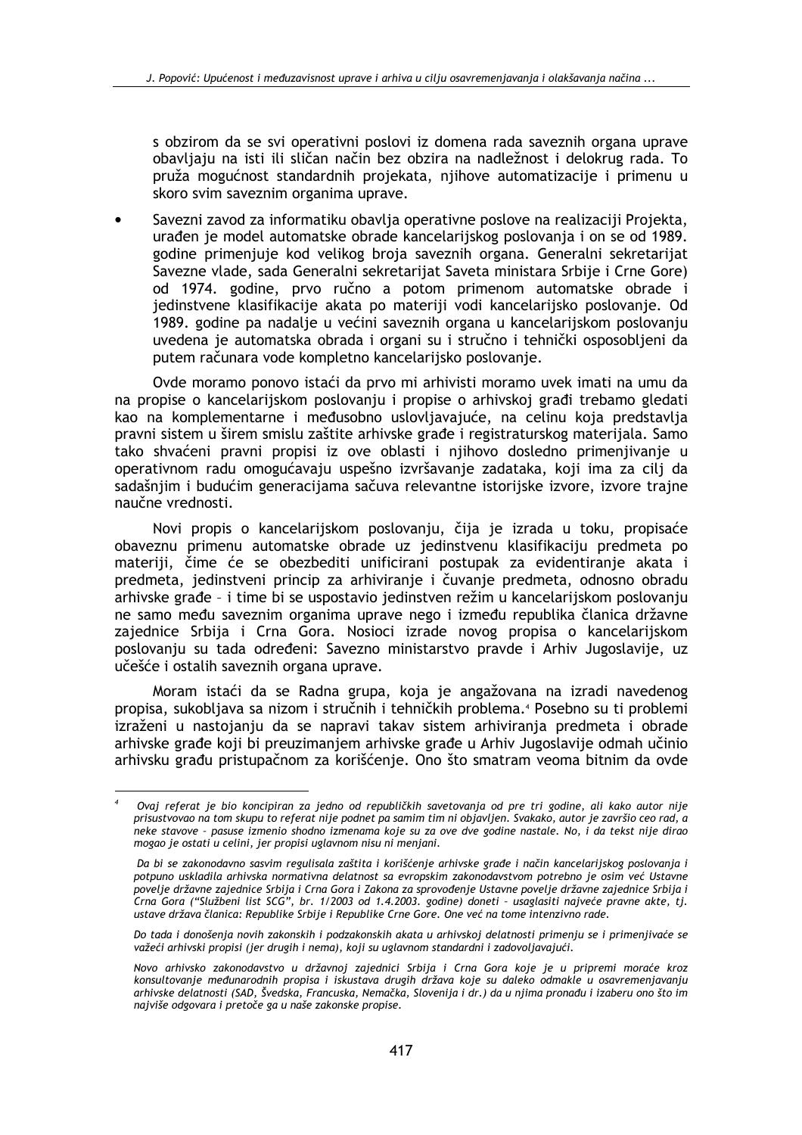s obzirom da se svi operativni poslovi iz domena rada saveznih organa uprave obavljaju na isti ili sličan način bez obzira na nadležnost i delokrug rada. To pruža mogućnost standardnih projekata, njihove automatizacije i primenu u skoro svim saveznim organima uprave.

Savezni zavod za informatiku obavlja operativne poslove na realizaciji Projekta. urađen je model automatske obrade kancelarijskog poslovanja i on se od 1989. godine primenjuje kod velikog broja saveznih organa. Generalni sekretarijat Savezne vlade, sada Generalni sekretarijat Saveta ministara Srbije i Crne Gore) od 1974. godine, prvo ručno a potom primenom automatske obrade i jedinstvene klasifikacije akata po materiji vodi kancelarijsko poslovanje. Od 1989. godine pa nadalje u većini saveznih organa u kancelarijskom poslovanju uvedena je automatska obrada i organi su i stručno i tehnički osposobljeni da putem računara vode kompletno kancelarijsko poslovanje.

Ovde moramo ponovo istaći da prvo mi arhivisti moramo uvek imati na umu da na propise o kancelarijskom poslovanju i propise o arhivskoj građi trebamo gledati kao na komplementarne i međusobno uslovljavajuće, na celinu koja predstavlja pravni sistem u širem smislu zaštite arhivske građe i registraturskog materijala. Samo tako shvaćeni pravni propisi iz ove oblasti i njihovo dosledno primenjivanje u operativnom radu omogućavaju uspešno izvršavanje zadataka, koji ima za cilj da sadašnjim i budućim generacijama sačuva relevantne istorijske izvore, izvore trajne naučne vrednosti.

Novi propis o kancelarijskom poslovanju, čija je izrada u toku, propisaće obaveznu primenu automatske obrade uz jedinstvenu klasifikaciju predmeta po materiji, čime će se obezbediti unificirani postupak za evidentiranje akata i predmeta, jedinstveni princip za arhiviranje i čuvanje predmeta, odnosno obradu arhivske građe - i time bi se uspostavio jedinstven režim u kancelarijskom poslovanju ne samo među saveznim organima uprave nego i između republika članica državne zajednice Srbija i Crna Gora. Nosioci izrade novog propisa o kancelarijskom poslovanju su tada određeni: Savezno ministarstvo pravde i Arhiv Jugoslavije, uz učešće i ostalih saveznih organa uprave.

Moram istaći da se Radna grupa, koja je angažovana na izradi navedenog propisa, sukobljava sa nizom i stručnih i tehničkih problema.<sup>4</sup> Posebno su ti problemi izraženi u nastojanju da se napravi takav sistem arhiviranja predmeta i obrade arhivske građe koji bi preuzimanjem arhivske građe u Arhiv Jugoslavije odmah učinio arhivsku građu pristupačnom za korišćenje. Ono što smatram veoma bitnim da ovde

Ovaj referat je bio koncipiran za jedno od republičkih savetovanja od pre tri godine, ali kako autor nije prisustvovao na tom skupu to referat nije podnet pa samim tim ni objavljen. Svakako, autor je završio ceo rad, a neke stavove - pasuse izmenio shodno izmenama koje su za ove dve godine nastale. No, i da tekst nije dirao mogao je ostati u celini, jer propisi uglavnom nisu ni menjani.

Da bi se zakonodavno sasvim regulisala zaštita i korišćenje arhivske građe i način kancelarijskog poslovanja i potpuno uskladila arhivska normativna delatnost sa evropskim zakonodavstvom potrebno je osim već Ustavne povelje državne zajednice Srbija i Crna Gora i Zakona za sprovođenje Ustavne povelje državne zajednice Srbija i Crna Gora ("Službeni list SCG", br. 1/2003 od 1.4.2003. godine) doneti - usaglasiti najveće pravne akte, tj. ustave država članica: Republike Srbije i Republike Crne Gore. One već na tome intenzivno rade.

Do tada i donošenja novih zakonskih i podzakonskih akata u arhivskoj delatnosti primenju se i primenjivaće se važeći arhivski propisi (jer drugih i nema), koji su uglavnom standardni i zadovoljavajući.

Novo arhivsko zakonodavstvo u državnoj zajednici Srbija i Crna Gora koje je u pripremi moraće kroz konsultovanje međunarodnih propisa i iskustava drugih država koje su daleko odmakle u osavremenjavanju arhivske delatnosti (SAD, Švedska, Francuska, Nemačka, Slovenija i dr.) da u njima pronađu i izaberu ono što im najviše odgovara i pretoče ga u naše zakonske propise.